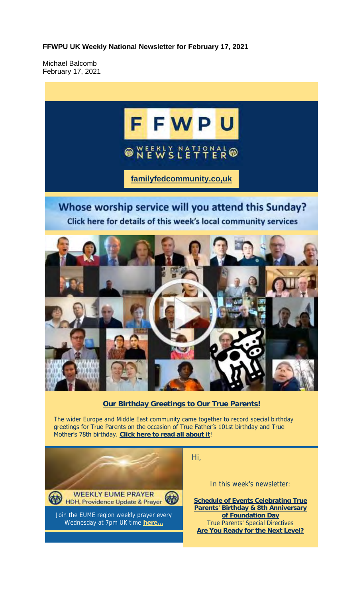**FFWPU UK Weekly National Newsletter for February 17, 2021**

Michael Balcomb February 17, 2021

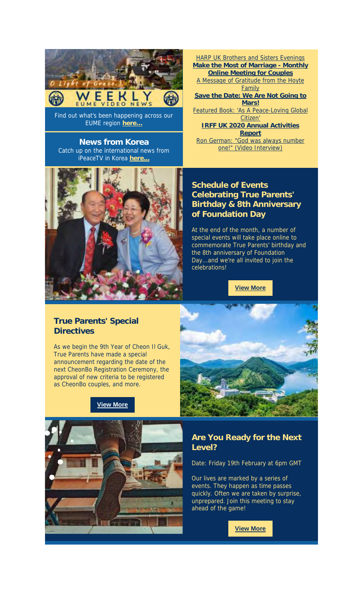

Find out what's been happening across our EUME region **here...**

**News from Korea** Catch up on the international news from iPeaceTV in Korea **here...**



HARP UK Brothers and Sisters Evenings **Make the Most of Marriage - Monthly Online Meeting for Couples** A Message of Gratitude from the Hoyte **Family Save the Date: We Are Not Going to Mars!** Featured Book: 'As A Peace-Loving Global Citizen' **IRFF UK 2020 Annual Activities Report** Ron German: "God was always number one!" (Video Interview)

#### **Schedule of Events Celebrating True Parents' Birthday & 8th Anniversary of Foundation Day**

At the end of the month, a number of special events will take place online to commemorate True Parents' birthday and the 8th anniversary of Foundation Day...and we're all invited to join the celebrations!

**View More**

#### **True Parents' Special Directives**

As we begin the 9th Year of Cheon Il Guk, True Parents have made a special announcement regarding the date of the next CheonBo Registration Ceremony, the approval of new criteria to be registered as CheonBo couples, and more.







## **Are You Ready for the Next Level?**

Date: Friday 19th February at 6pm GMT

Our lives are marked by a series of events. They happen as time passes quickly. Often we are taken by surprise, unprepared. Join this meeting to stay ahead of the game!

**View More**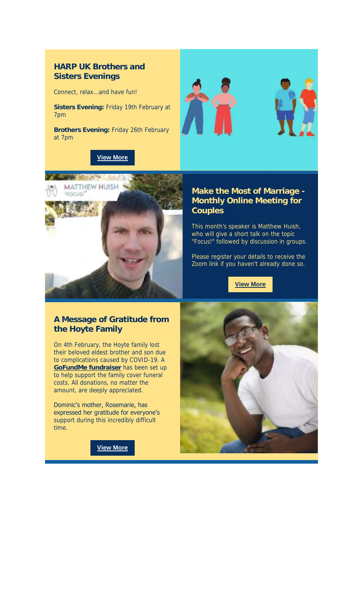## **HARP UK Brothers and Sisters Evenings**

Connect, relax...and have fun!

**Sisters Evening:** Friday 19th February at 7pm

**Brothers Evening:** Friday 26th February at 7pm









#### **Make the Most of Marriage - Monthly Online Meeting for Couples**

This month's speaker is Matthew Huish, who will give a short talk on the topic "Focus!" followed by discussion in groups.

Please register your details to receive the Zoom link if you haven't already done so.

**View More**

## **A Message of Gratitude from the Hoyte Family**

On 4th February, the Hoyte family lost their beloved eldest brother and son due to complications caused by COVID-19. A **GoFundMe fundraiser** has been set up to help support the family cover funeral costs. All donations, no matter the amount, are deeply appreciated.

Dominic's mother, Rosemarie, has expressed her gratitude for everyone's support during this incredibly difficult time.

**View More**

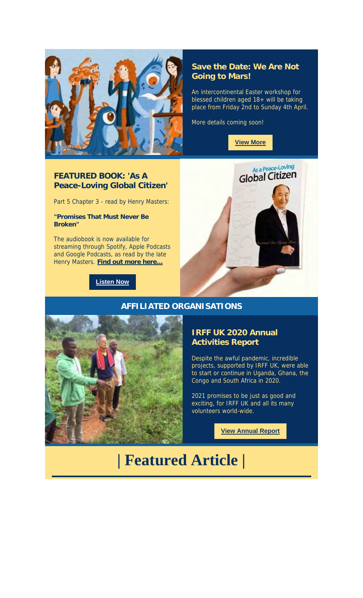

#### **Save the Date: We Are Not Going to Mars!**

An intercontinental Easter workshop for blessed children aged 18+ will be taking place from Friday 2nd to Sunday 4th April.

More details coming soon!



## **FEATURED BOOK: 'As A Peace-Loving Global Citizen'**

Part 5 Chapter 3 - read by Henry Masters:

**"Promises That Must Never Be Broken"**

The audiobook is now available for streaming through Spotify, Apple Podcasts and Google Podcasts, as read by the late Henry Masters. **Find out more here...**

**Listen Now**





#### **AFFILIATED ORGANISATIONS**

#### **IRFF UK 2020 Annual Activities Report**

Despite the awful pandemic, incredible projects, supported by IRFF UK, were able to start or continue in Uganda, Ghana, the Congo and South Africa in 2020.

2021 promises to be just as good and exciting, for IRFF UK and all its many volunteers world-wide.

**View Annual Report**

# **| Featured Article |**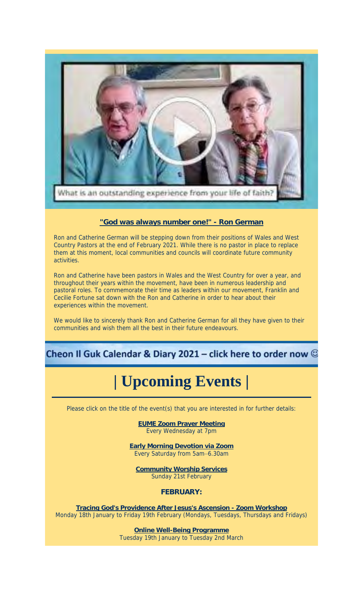

#### **"God was always number one!" - Ron German**

Ron and Catherine German will be stepping down from their positions of Wales and West Country Pastors at the end of February 2021. While there is no pastor in place to replace them at this moment, local communities and councils will coordinate future community activities.

Ron and Catherine have been pastors in Wales and the West Country for over a year, and throughout their years within the movement, have been in numerous leadership and pastoral roles. To commemorate their time as leaders within our movement, Franklin and Cecilie Fortune sat down with the Ron and Catherine in order to hear about their experiences within the movement.

We would like to sincerely thank Ron and Catherine German for all they have given to their communities and wish them all the best in their future endeavours.

# Cheon II Guk Calendar & Diary 2021 – click here to order now  $\mathbb G$

# **| Upcoming Events |**

Please click on the title of the event(s) that you are interested in for further details:

**EUME Zoom Prayer Meeting** Every Wednesday at 7pm

**Early Morning Devotion via Zoom** Every Saturday from 5am–6.30am

**Community Worship Services** Sunday 21st February

**FEBRUARY:**

**Tracing God's Providence After Jesus's Ascension - Zoom Workshop** Monday 18th January to Friday 19th February (Mondays, Tuesdays, Thursdays and Fridays)

> **Online Well-Being Programme** Tuesday 19th January to Tuesday 2nd March